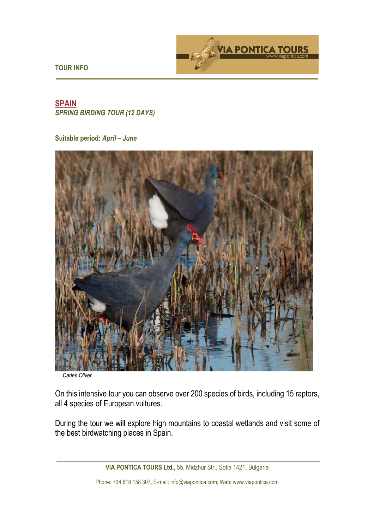**TOUR INFO** 



# **SPAIN**  *SPRING BIRDING TOUR (12 DAYS)*

### **Suitable period:** *April – June*



*Carles Oliver*

On this intensive tour you can observe over 200 species of birds, including 15 raptors, all 4 species of European vultures.

During the tour we will explore high mountains to coastal wetlands and visit some of the best birdwatching places in Spain.

**VIA PONTICA TOURS Ltd.,** 55, Midzhur Str., Sofia 1421, Bulgaria

Phone: +34 618 158 307, E-mail: info@viapontica.com; Web: www.viapontica.com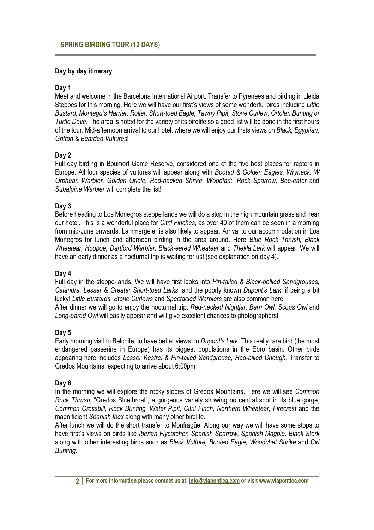### **Day by day itinerary**

# **Day 1**

Meet and welcome in the Barcelona International Airport. Transfer to Pyrenees and birding in Lleida Steppes for this morning. Here we will have our first's views of some wonderful birds including *Little Bustard, Montagu's Harrier, Roller, Short-toed Eagle, Tawny Pipit, Stone Curlew, Ortolan Bunting or Turtle Dove*. The area is noted for the variety of its birdlife so a good list will be done in the first hours of the tour. Mid-afternoon arrival to our hotel, where we will enjoy our firsts views on *Black, Egyptian, Griffon & Bearded Vultures*!

# **Day 2**

Full day birding in Boumort Game Reserve, considered one of the five best places for raptors in Europe. All four species of vultures will appear along with *Booted & Golden Eagles. Wryneck, W Orphean Warbler, Golden Oriole, Red-backed Shrike, Woodlark, Rock Sparrow, Bee-eater* and *Subalpine Warbler* will complete the list!

# **Day 3**

Before heading to Los Monegros steppe lands we will do a stop in the high mountain grassland near our hotel. This is a wonderful place for *Citril Finches*, as over 40 of them can be seen in a morning from mid-June onwards. Lammergeier is also likely to appear. Arrival to our accommodation in Los Monegros for lunch and afternoon birding in the area around. Here *Blue Rock Thrush, Black Wheatear, Hoopoe, Dartford Warbler, Black-eared Wheatear* and *Thekla Lark* will appear. We will have an early dinner as a nocturnal trip is waiting for us! (see explanation on day 4).

### **Day 4**

Full day in the steppe-lands. We will have first looks into *Pin-tailed & Black-bellied Sandgrouses, Calandra, Lesser & Greater Short-toed Larks*, and the poorly known *Dupont's Lark*, if being a bit lucky! *Little Bustards, Stone Curlews* and *Spectacled Warblers* are also common here! After dinner we will go to enjoy the nocturnal trip. *Red-necked Nightjar, Barn Owl, Scops Owl* and *Long-eared Owl* will easily appear and will give excellent chances to photographers!

### **Day 5**

Early morning visit to Belchite, to have better views on *Dupont's Lark*. This really rare bird (the most endangered passerine in Europe) has its biggest populations in the Ebro basin. Other birds appearing here includes *Lesser Kestrel & Pin-tailed Sandgrouse, Red-billed Chough*. Transfer to Gredos Mountains, expecting to arrive about 6:00pm

### **Day 6**

In the morning we will explore the rocky slopes of Gredos Mountains. Here we will see *Common Rock Thrush*, "Gredos Bluethroat", a gorgeous variety showing no central spot in its blue gorge, *Common Crossbill, Rock Bunting, Water Pipit, Citril Finch, Northern Wheatear, Firecrest* and the magnificient *Spanish Ibex* along with many other birdlife.

After lunch we will do the short transfer to Monfragüe. Along our way we will have some stops to have first's views on birds like *Iberian Flycatcher, Spanish Sparrow, Spanish Magpie, Black Stork* along with other interesting birds such as *Black Vulture, Booted Eagle, Woodchat Shrike* and *Cirl Bunting.*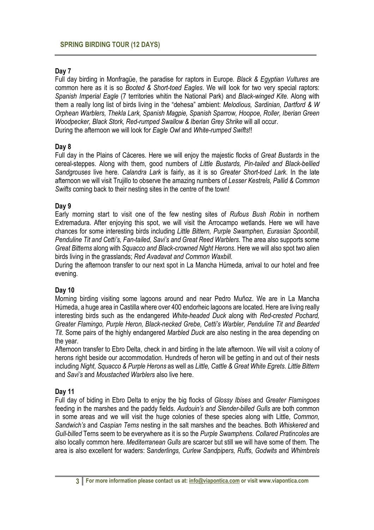# **Day 7**

Full day birding in Monfragüe, the paradise for raptors in Europe. *Black & Egyptian Vultures* are common here as it is so *Booted & Short-toed Eagles*. We will look for two very special raptors: *Spanish Imperial Eagle* (7 territories whitin the National Park) and *Black-winged Kite*. Along with them a really long list of birds living in the "dehesa" ambient: *Melodious, Sardinian, Dartford & W Orphean Warblers, Thekla Lark, Spanish Magpie, Spanish Sparrow, Hoopoe, Roller, Iberian Green Woodpecker, Black Stork, Red-rumped Swallow & Iberian Grey Shrike* will all occur. During the afternoon we will look for *Eagle Owl* and *White-rumped Swifts*!!

#### **Day 8**

Full day in the Plains of Cáceres. Here we will enjoy the majestic flocks of *Great Bustards* in the cereal-steppes. Along with them, good numbers of *Little Bustards, Pin-tailed and Black-bellied Sandgrouses* live here. *Calandra Lark* is fairly, as it is so *Greater Short-toed Lark*. In the late afternoon we will visit Trujillo to observe the amazing numbers of *Lesser Kestrels, Pallid & Common Swifts* coming back to their nesting sites in the centre of the town!

#### **Day 9**

Early morning start to visit one of the few nesting sites of *Rufous Bush Robin* in northern Extremadura. After enjoying this spot, we will visit the Arrocampo wetlands. Here we will have chances for some interesting birds including *Little Bittern, Purple Swamphen, Eurasian Spoonbill, Penduline Tit and Cetti's, Fan-tailed, Savi's and Great Reed Warblers*. The area also supports some *Great Bitterns* along with *Squacco and Black-crowned Night Herons*. Here we will also spot two alien birds living in the grasslands; *Red Avadavat and Common Waxbill*.

During the afternoon transfer to our next spot in La Mancha Húmeda, arrival to our hotel and free evening.

#### **Day 10**

Morning birding visiting some lagoons around and near Pedro Muñoz. We are in La Mancha Húmeda, a huge area in Castilla where over 400 endorheic lagoons are located. Here are living really interesting birds such as the endangered *White-headed Duck* along with *Red-crested Pochard, Greater Flamingo, Purple Heron, Black-necked Grebe, Cetti's Warbler, Penduline Tit and Bearded Tit*. Some pairs of the highly endangered *Marbled Duck* are also nesting in the area depending on the year.

Afternoon transfer to Ebro Delta, check in and birding in the late afternoon. We will visit a colony of herons right beside our accommodation. Hundreds of heron will be getting in and out of their nests including *Night, Squacco & Purple Herons* as well as *Little, Cattle & Great White Egrets*. *Little Bittern* and *Savi's* and *Moustached Warblers* also live here.

#### **Day 11**

Full day of biding in Ebro Delta to enjoy the big flocks of *Glossy Ibises* and *Greater Flamingoes* feeding in the marshes and the paddy fields. *Audouin's and Slender-billed Gulls* are both common in some areas and we will visit the huge colonies of these species along with Little, *Common, Sandwich's* and *Caspian Terns* nesting in the salt marshes and the beaches. Both *Whiskered* and *Gull-billed* Terns seem to be everywhere as it is so the *Purple Swamphens*. *Collared Pratincoles* are also locally common here. *Mediterranean Gulls* are scarcer but still we will have some of them. The area is also excellent for waders: S*anderlings, Curlew Sandpipers, Ruffs, Godwits* and *Whimbrels*